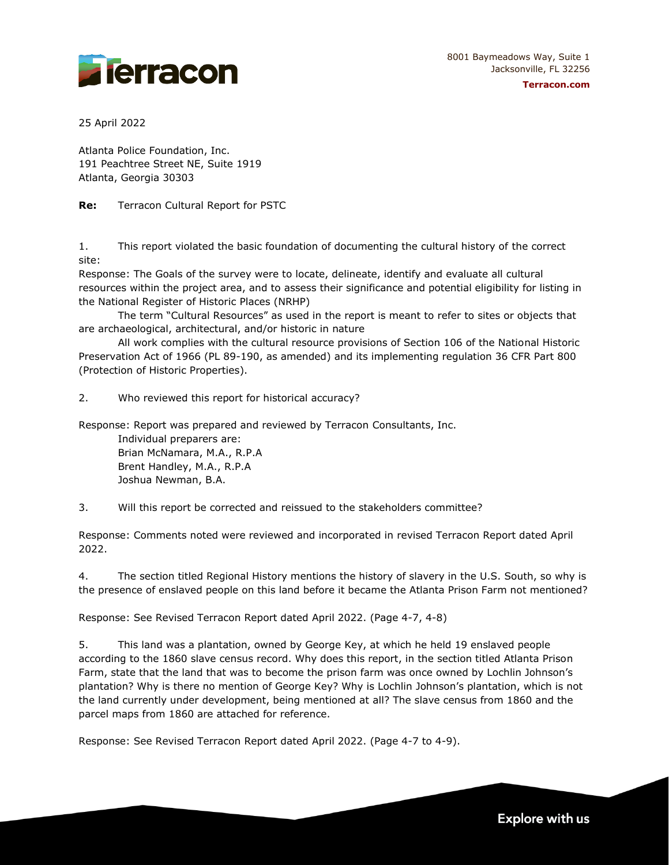



25 April 2022

Atlanta Police Foundation, Inc. 191 Peachtree Street NE, Suite 1919 Atlanta, Georgia 30303

**Re:** Terracon Cultural Report for PSTC

1. This report violated the basic foundation of documenting the cultural history of the correct site:

Response: The Goals of the survey were to locate, delineate, identify and evaluate all cultural resources within the project area, and to assess their significance and potential eligibility for listing in the National Register of Historic Places (NRHP)

The term "Cultural Resources" as used in the report is meant to refer to sites or objects that are archaeological, architectural, and/or historic in nature

All work complies with the cultural resource provisions of Section 106 of the National Historic Preservation Act of 1966 (PL 89-190, as amended) and its implementing regulation 36 CFR Part 800 (Protection of Historic Properties).

2. Who reviewed this report for historical accuracy?

Response: Report was prepared and reviewed by Terracon Consultants, Inc.

Individual preparers are: Brian McNamara, M.A., R.P.A Brent Handley, M.A., R.P.A Joshua Newman, B.A.

3. Will this report be corrected and reissued to the stakeholders committee?

Response: Comments noted were reviewed and incorporated in revised Terracon Report dated April 2022.

4. The section titled Regional History mentions the history of slavery in the U.S. South, so why is the presence of enslaved people on this land before it became the Atlanta Prison Farm not mentioned?

Response: See Revised Terracon Report dated April 2022. (Page 4-7, 4-8)

5. This land was a plantation, owned by George Key, at which he held 19 enslaved people according to the 1860 slave census record. Why does this report, in the section titled Atlanta Prison Farm, state that the land that was to become the prison farm was once owned by Lochlin Johnson's plantation? Why is there no mention of George Key? Why is Lochlin Johnson's plantation, which is not the land currently under development, being mentioned at all? The slave census from 1860 and the parcel maps from 1860 are attached for reference.

Response: See Revised Terracon Report dated April 2022. (Page 4-7 to 4-9).